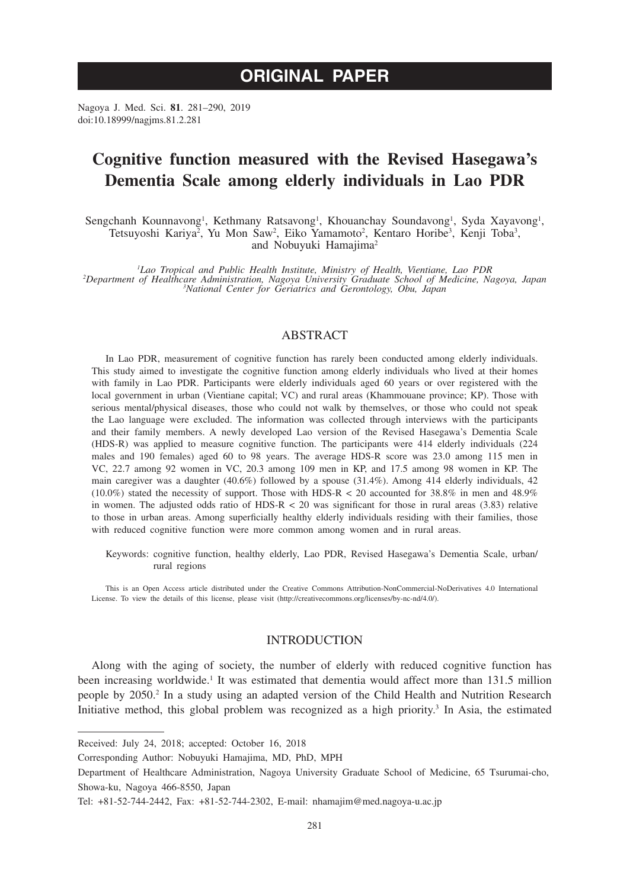# **ORIGINAL PAPER**

Nagoya J. Med. Sci. **81**. 281–290, 2019 doi:10.18999/nagjms.81.2.281

# **Cognitive function measured with the Revised Hasegawa's Dementia Scale among elderly individuals in Lao PDR**

Sengchanh Kounnavong<sup>1</sup>, Kethmany Ratsavong<sup>1</sup>, Khouanchay Soundavong<sup>1</sup>, Syda Xayavong<sup>1</sup>, Tetsuyoshi Kariya<sup>2</sup>, Yu Mon Saw<sup>2</sup>, Eiko Yamamoto<sup>2</sup>, Kentaro Horibe<sup>3</sup>, Kenji Toba<sup>3</sup>, and Nobuyuki Hamajima2

*1 Lao Tropical and Public Health Institute, Ministry of Health, Vientiane, Lao PDR <sup>2</sup> Department of Healthcare Administration, Nagoya University Graduate School of Medicine, Nagoya, Japan <sup>3</sup> National Center for Geriatrics and Gerontology, Obu, Japan*

## ABSTRACT

In Lao PDR, measurement of cognitive function has rarely been conducted among elderly individuals. This study aimed to investigate the cognitive function among elderly individuals who lived at their homes with family in Lao PDR. Participants were elderly individuals aged 60 years or over registered with the local government in urban (Vientiane capital; VC) and rural areas (Khammouane province; KP). Those with serious mental/physical diseases, those who could not walk by themselves, or those who could not speak the Lao language were excluded. The information was collected through interviews with the participants and their family members. A newly developed Lao version of the Revised Hasegawa's Dementia Scale (HDS-R) was applied to measure cognitive function. The participants were 414 elderly individuals (224 males and 190 females) aged 60 to 98 years. The average HDS-R score was 23.0 among 115 men in VC, 22.7 among 92 women in VC, 20.3 among 109 men in KP, and 17.5 among 98 women in KP. The main caregiver was a daughter (40.6%) followed by a spouse (31.4%). Among 414 elderly individuals, 42 (10.0%) stated the necessity of support. Those with HDS-R < 20 accounted for  $38.8\%$  in men and  $48.9\%$ in women. The adjusted odds ratio of  $HDS-R < 20$  was significant for those in rural areas (3.83) relative to those in urban areas. Among superficially healthy elderly individuals residing with their families, those with reduced cognitive function were more common among women and in rural areas.

Keywords: cognitive function, healthy elderly, Lao PDR, Revised Hasegawa's Dementia Scale, urban/ rural regions

This is an Open Access article distributed under the Creative Commons Attribution-NonCommercial-NoDerivatives 4.0 International License. To view the details of this license, please visit (http://creativecommons.org/licenses/by-nc-nd/4.0/).

## INTRODUCTION

Along with the aging of society, the number of elderly with reduced cognitive function has been increasing worldwide.<sup>1</sup> It was estimated that dementia would affect more than 131.5 million people by 2050.<sup>2</sup> In a study using an adapted version of the Child Health and Nutrition Research Initiative method, this global problem was recognized as a high priority.<sup>3</sup> In Asia, the estimated

Received: July 24, 2018; accepted: October 16, 2018

Corresponding Author: Nobuyuki Hamajima, MD, PhD, MPH

Department of Healthcare Administration, Nagoya University Graduate School of Medicine, 65 Tsurumai-cho, Showa-ku, Nagoya 466-8550, Japan

Tel: +81-52-744-2442, Fax: +81-52-744-2302, E-mail: nhamajim@med.nagoya-u.ac.jp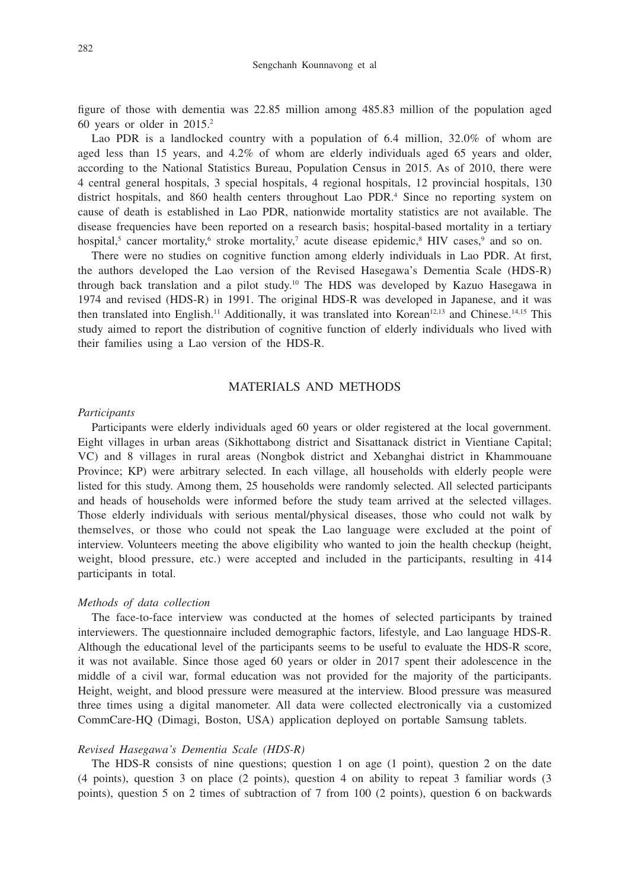figure of those with dementia was 22.85 million among 485.83 million of the population aged 60 years or older in 2015.2

Lao PDR is a landlocked country with a population of 6.4 million, 32.0% of whom are aged less than 15 years, and 4.2% of whom are elderly individuals aged 65 years and older, according to the National Statistics Bureau, Population Census in 2015. As of 2010, there were 4 central general hospitals, 3 special hospitals, 4 regional hospitals, 12 provincial hospitals, 130 district hospitals, and 860 health centers throughout Lao PDR.<sup>4</sup> Since no reporting system on cause of death is established in Lao PDR, nationwide mortality statistics are not available. The disease frequencies have been reported on a research basis; hospital-based mortality in a tertiary hospital,<sup>5</sup> cancer mortality,<sup>6</sup> stroke mortality,<sup>7</sup> acute disease epidemic,<sup>8</sup> HIV cases,<sup>9</sup> and so on.

There were no studies on cognitive function among elderly individuals in Lao PDR. At first, the authors developed the Lao version of the Revised Hasegawa's Dementia Scale (HDS-R) through back translation and a pilot study.<sup>10</sup> The HDS was developed by Kazuo Hasegawa in 1974 and revised (HDS-R) in 1991. The original HDS-R was developed in Japanese, and it was then translated into English.<sup>11</sup> Additionally, it was translated into Korean<sup>12,13</sup> and Chinese.<sup>14,15</sup> This study aimed to report the distribution of cognitive function of elderly individuals who lived with their families using a Lao version of the HDS-R.

# MATERIALS AND METHODS

#### *Participants*

Participants were elderly individuals aged 60 years or older registered at the local government. Eight villages in urban areas (Sikhottabong district and Sisattanack district in Vientiane Capital; VC) and 8 villages in rural areas (Nongbok district and Xebanghai district in Khammouane Province; KP) were arbitrary selected. In each village, all households with elderly people were listed for this study. Among them, 25 households were randomly selected. All selected participants and heads of households were informed before the study team arrived at the selected villages. Those elderly individuals with serious mental/physical diseases, those who could not walk by themselves, or those who could not speak the Lao language were excluded at the point of interview. Volunteers meeting the above eligibility who wanted to join the health checkup (height, weight, blood pressure, etc.) were accepted and included in the participants, resulting in 414 participants in total.

### *Methods of data collection*

The face-to-face interview was conducted at the homes of selected participants by trained interviewers. The questionnaire included demographic factors, lifestyle, and Lao language HDS-R. Although the educational level of the participants seems to be useful to evaluate the HDS-R score, it was not available. Since those aged 60 years or older in 2017 spent their adolescence in the middle of a civil war, formal education was not provided for the majority of the participants. Height, weight, and blood pressure were measured at the interview. Blood pressure was measured three times using a digital manometer. All data were collected electronically via a customized CommCare-HQ (Dimagi, Boston, USA) application deployed on portable Samsung tablets.

### *Revised Hasegawa's Dementia Scale (HDS-R)*

The HDS-R consists of nine questions; question 1 on age (1 point), question 2 on the date (4 points), question 3 on place (2 points), question 4 on ability to repeat 3 familiar words (3 points), question 5 on 2 times of subtraction of 7 from 100 (2 points), question 6 on backwards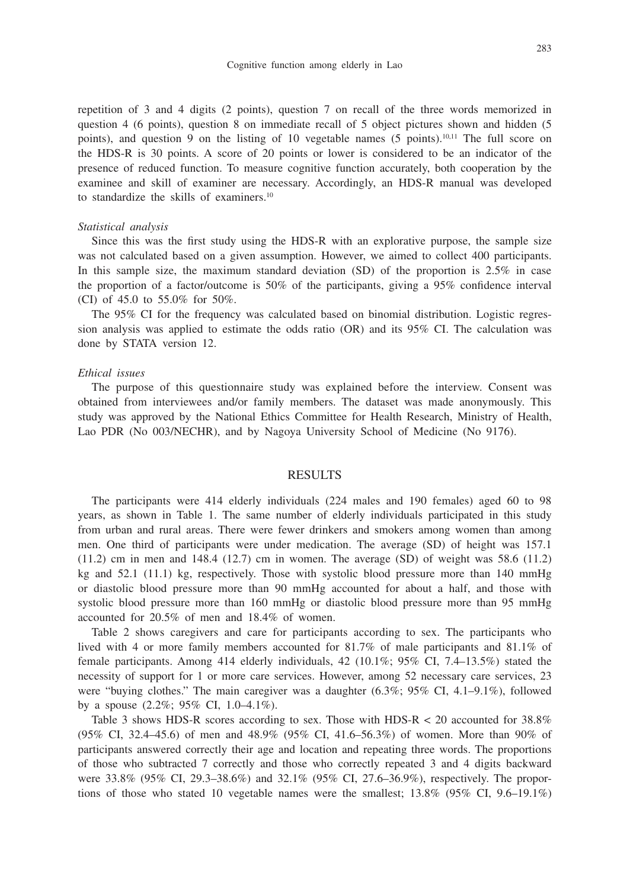repetition of 3 and 4 digits (2 points), question 7 on recall of the three words memorized in question 4 (6 points), question 8 on immediate recall of 5 object pictures shown and hidden (5 points), and question 9 on the listing of 10 vegetable names  $(5 \text{ points})$ ,  $[0,1]$  The full score on the HDS-R is 30 points. A score of 20 points or lower is considered to be an indicator of the presence of reduced function. To measure cognitive function accurately, both cooperation by the examinee and skill of examiner are necessary. Accordingly, an HDS-R manual was developed to standardize the skills of examiners.10

#### *Statistical analysis*

Since this was the first study using the HDS-R with an explorative purpose, the sample size was not calculated based on a given assumption. However, we aimed to collect 400 participants. In this sample size, the maximum standard deviation (SD) of the proportion is 2.5% in case the proportion of a factor/outcome is 50% of the participants, giving a 95% confidence interval (CI) of 45.0 to 55.0% for 50%.

The 95% CI for the frequency was calculated based on binomial distribution. Logistic regression analysis was applied to estimate the odds ratio (OR) and its 95% CI. The calculation was done by STATA version 12.

#### *Ethical issues*

The purpose of this questionnaire study was explained before the interview. Consent was obtained from interviewees and/or family members. The dataset was made anonymously. This study was approved by the National Ethics Committee for Health Research, Ministry of Health, Lao PDR (No 003/NECHR), and by Nagoya University School of Medicine (No 9176).

### RESULTS

The participants were 414 elderly individuals (224 males and 190 females) aged 60 to 98 years, as shown in Table 1. The same number of elderly individuals participated in this study from urban and rural areas. There were fewer drinkers and smokers among women than among men. One third of participants were under medication. The average (SD) of height was 157.1  $(11.2)$  cm in men and 148.4  $(12.7)$  cm in women. The average  $(SD)$  of weight was 58.6  $(11.2)$ kg and 52.1 (11.1) kg, respectively. Those with systolic blood pressure more than 140 mmHg or diastolic blood pressure more than 90 mmHg accounted for about a half, and those with systolic blood pressure more than 160 mmHg or diastolic blood pressure more than 95 mmHg accounted for 20.5% of men and 18.4% of women.

Table 2 shows caregivers and care for participants according to sex. The participants who lived with 4 or more family members accounted for 81.7% of male participants and 81.1% of female participants. Among 414 elderly individuals, 42 (10.1%; 95% CI, 7.4–13.5%) stated the necessity of support for 1 or more care services. However, among 52 necessary care services, 23 were "buying clothes." The main caregiver was a daughter (6.3%; 95% CI, 4.1–9.1%), followed by a spouse (2.2%; 95% CI, 1.0–4.1%).

Table 3 shows HDS-R scores according to sex. Those with HDS-R < 20 accounted for 38.8% (95% CI, 32.4–45.6) of men and 48.9% (95% CI, 41.6–56.3%) of women. More than 90% of participants answered correctly their age and location and repeating three words. The proportions of those who subtracted 7 correctly and those who correctly repeated 3 and 4 digits backward were 33.8% (95% CI, 29.3–38.6%) and 32.1% (95% CI, 27.6–36.9%), respectively. The proportions of those who stated 10 vegetable names were the smallest;  $13.8\%$  (95% CI, 9.6–19.1%)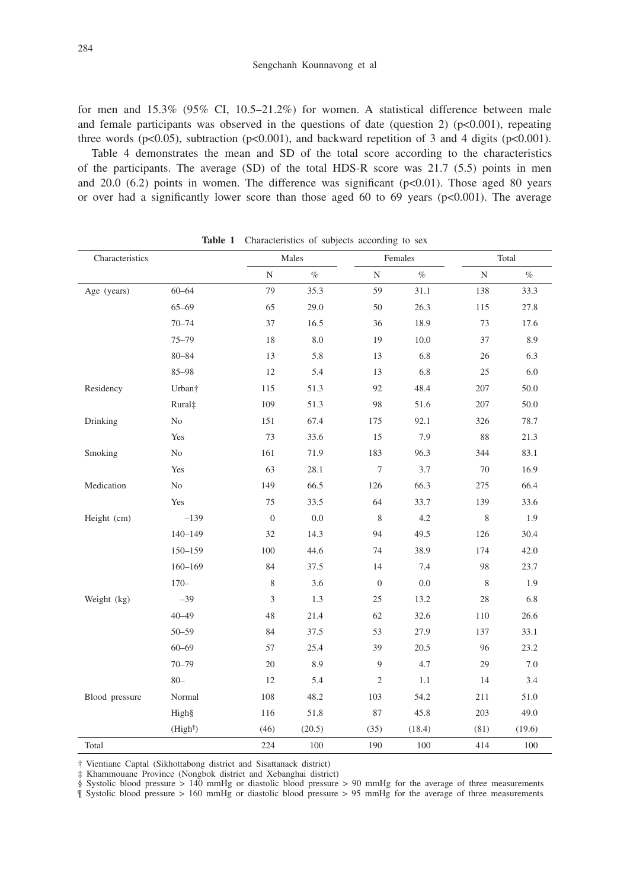for men and  $15.3\%$  (95% CI, 10.5–21.2%) for women. A statistical difference between male and female participants was observed in the questions of date (question 2) ( $p < 0.001$ ), repeating three words (p<0.05), subtraction (p<0.001), and backward repetition of 3 and 4 digits (p<0.001).

Table 4 demonstrates the mean and SD of the total score according to the characteristics of the participants. The average (SD) of the total HDS-R score was 21.7 (5.5) points in men and  $20.0\,$  (6.2) points in women. The difference was significant ( $p<0.01$ ). Those aged 80 years or over had a significantly lower score than those aged 60 to 69 years ( $p<0.001$ ). The average

| Characteristics |                      |                  | Males   | Females        |        | Total     |         |
|-----------------|----------------------|------------------|---------|----------------|--------|-----------|---------|
|                 |                      | $\mathbf N$      | $\%$    | ${\rm N}$      | $\%$   | ${\rm N}$ | $\%$    |
| Age (years)     | $60 - 64$            | 79               | 35.3    | 59             | 31.1   | 138       | 33.3    |
|                 | $65 - 69$            | 65               | 29.0    | 50             | 26.3   | 115       | 27.8    |
|                 | $70 - 74$            | 37               | 16.5    | 36             | 18.9   | 73        | 17.6    |
|                 | $75 - 79$            | 18               | $8.0\,$ | 19             | 10.0   | 37        | 8.9     |
|                 | $80 - 84$            | 13               | 5.8     | 13             | 6.8    | 26        | 6.3     |
|                 | 85-98                | 12               | 5.4     | 13             | 6.8    | 25        | 6.0     |
| Residency       | Urban <sup>+</sup>   | 115              | 51.3    | 92             | 48.4   | 207       | 50.0    |
|                 | Rural <sup>±</sup>   | 109              | 51.3    | 98             | 51.6   | 207       | 50.0    |
| Drinking        | No                   | 151              | 67.4    | 175            | 92.1   | 326       | 78.7    |
|                 | Yes                  | 73               | 33.6    | 15             | 7.9    | 88        | 21.3    |
| Smoking         | No                   | 161              | 71.9    | 183            | 96.3   | 344       | 83.1    |
|                 | Yes                  | 63               | 28.1    | $\tau$         | 3.7    | 70        | 16.9    |
| Medication      | N <sub>o</sub>       | 149              | 66.5    | 126            | 66.3   | 275       | 66.4    |
|                 | Yes                  | 75               | 33.5    | 64             | 33.7   | 139       | 33.6    |
| Height (cm)     | $-139$               | $\boldsymbol{0}$ | $0.0\,$ | $\,$ 8 $\,$    | 4.2    | 8         | 1.9     |
|                 | $140 - 149$          | 32               | 14.3    | 94             | 49.5   | 126       | 30.4    |
|                 | 150-159              | 100              | 44.6    | 74             | 38.9   | 174       | 42.0    |
|                 | $160 - 169$          | 84               | 37.5    | 14             | 7.4    | 98        | 23.7    |
|                 | $170-$               | 8                | 3.6     | $\overline{0}$ | 0.0    | 8         | 1.9     |
| Weight (kg)     | $-39$                | $\overline{3}$   | 1.3     | 25             | 13.2   | 28        | $6.8\,$ |
|                 | $40 - 49$            | 48               | 21.4    | 62             | 32.6   | 110       | 26.6    |
|                 | $50 - 59$            | 84               | 37.5    | 53             | 27.9   | 137       | 33.1    |
|                 | $60 - 69$            | 57               | 25.4    | 39             | 20.5   | 96        | 23.2    |
|                 | $70 - 79$            | 20               | 8.9     | 9              | 4.7    | 29        | 7.0     |
|                 | $80 -$               | 12               | 5.4     | $\sqrt{2}$     | 1.1    | 14        | 3.4     |
| Blood pressure  | Normal               | 108              | 48.2    | 103            | 54.2   | 211       | 51.0    |
|                 | High§                | 116              | 51.8    | 87             | 45.8   | 203       | 49.0    |
|                 | (High <sup>q</sup> ) | (46)             | (20.5)  | (35)           | (18.4) | (81)      | (19.6)  |
| Total           |                      | 224              | 100     | 190            | 100    | 414       | 100     |

Table 1 Characteristics of subjects according to sex

† Vientiane Captal (Sikhottabong district and Sisattanack district)

‡ Khammouane Province (Nongbok district and Xebanghai district)

§ Systolic blood pressure > 140 mmHg or diastolic blood pressure > 90 mmHg for the average of three measurements

¶ Systolic blood pressure > 160 mmHg or diastolic blood pressure > 95 mmHg for the average of three measurements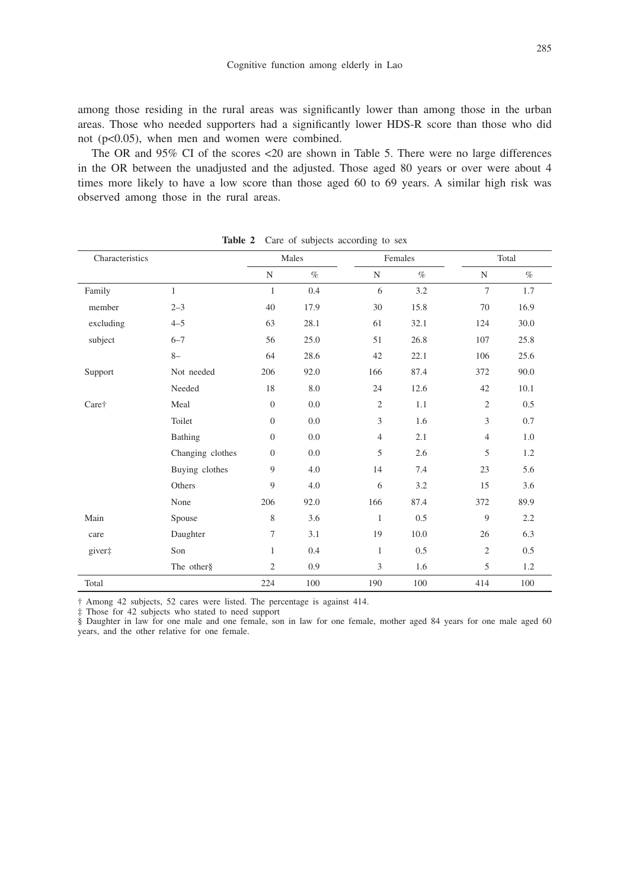among those residing in the rural areas was significantly lower than among those in the urban areas. Those who needed supporters had a significantly lower HDS-R score than those who did not (p<0.05), when men and women were combined.

The OR and 95% CI of the scores <20 are shown in Table 5. There were no large differences in the OR between the unadjusted and the adjusted. Those aged 80 years or over were about 4 times more likely to have a low score than those aged 60 to 69 years. A similar high risk was observed among those in the rural areas.

| Characteristics |                  | Males            |         | Females        |      | Total          |      |
|-----------------|------------------|------------------|---------|----------------|------|----------------|------|
|                 |                  | $\mathbf N$      | $\%$    | $\mathbf N$    | $\%$ | $\mathbf N$    | $\%$ |
| Family          | 1                | $\mathbf{1}$     | 0.4     | 6              | 3.2  | 7              | 1.7  |
| member          | $2 - 3$          | 40               | 17.9    | 30             | 15.8 | 70             | 16.9 |
| excluding       | $4 - 5$          | 63               | 28.1    | 61             | 32.1 | 124            | 30.0 |
| subject         | $6 - 7$          | 56               | 25.0    | 51             | 26.8 | 107            | 25.8 |
|                 | $8-$             | 64               | 28.6    | 42             | 22.1 | 106            | 25.6 |
| Support         | Not needed       | 206              | 92.0    | 166            | 87.4 | 372            | 90.0 |
|                 | Needed           | 18               | 8.0     | 24             | 12.6 | 42             | 10.1 |
| Care†           | Meal             | $\mathbf{0}$     | $0.0\,$ | $\mathbf{2}$   | 1.1  | $\overline{c}$ | 0.5  |
|                 | Toilet           | $\boldsymbol{0}$ | $0.0\,$ | $\overline{3}$ | 1.6  | 3              | 0.7  |
|                 | Bathing          | $\boldsymbol{0}$ | 0.0     | $\overline{4}$ | 2.1  | $\overline{4}$ | 1.0  |
|                 | Changing clothes | $\overline{0}$   | 0.0     | 5              | 2.6  | 5              | 1.2  |
|                 | Buying clothes   | 9                | 4.0     | 14             | 7.4  | 23             | 5.6  |
|                 | Others           | 9                | 4.0     | 6              | 3.2  | 15             | 3.6  |
|                 | None             | 206              | 92.0    | 166            | 87.4 | 372            | 89.9 |
| Main            | Spouse           | 8                | 3.6     | $\mathbf{1}$   | 0.5  | 9              | 2.2  |
| care            | Daughter         | 7                | 3.1     | 19             | 10.0 | 26             | 6.3  |
| giver‡          | Son              | 1                | 0.4     | $\mathbf{1}$   | 0.5  | $\sqrt{2}$     | 0.5  |
|                 | The other§       | $\mathbf{2}$     | 0.9     | 3              | 1.6  | 5              | 1.2  |
| Total           |                  | 224              | 100     | 190            | 100  | 414            | 100  |

Table 2 Care of subjects according to sex

† Among 42 subjects, 52 cares were listed. The percentage is against 414.

‡ Those for 42 subjects who stated to need support

§ Daughter in law for one male and one female, son in law for one female, mother aged 84 years for one male aged 60 years, and the other relative for one female.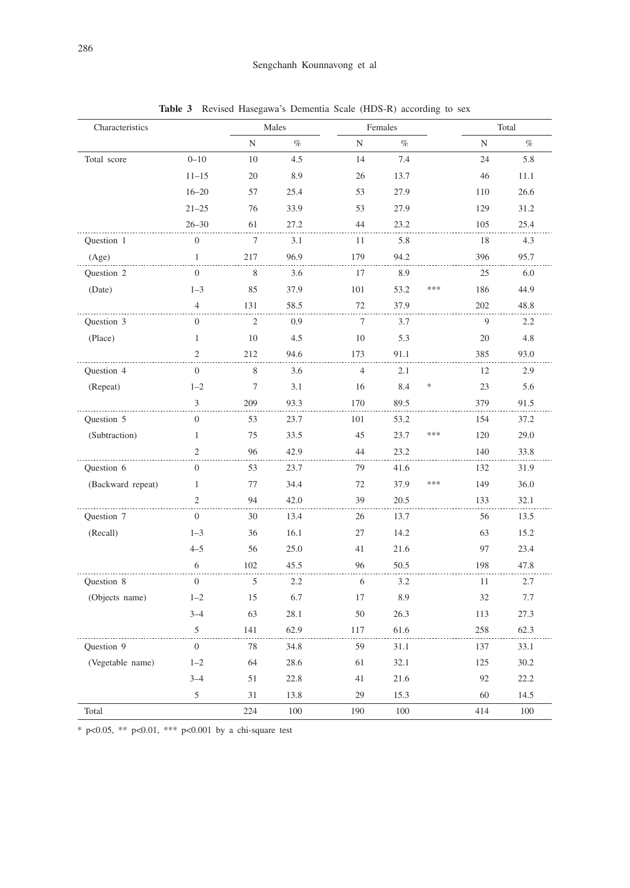| Characteristics   |                  | Males       |      |                | Females |        | Total |      |
|-------------------|------------------|-------------|------|----------------|---------|--------|-------|------|
|                   |                  | $\mathbf N$ | $\%$ | N              | $\%$    |        | N     | $\%$ |
| Total score       | $0 - 10$         | 10          | 4.5  | 14             | 7.4     |        | 24    | 5.8  |
|                   | $11 - 15$        | 20          | 8.9  | 26             | 13.7    |        | 46    | 11.1 |
|                   | $16 - 20$        | 57          | 25.4 | 53             | 27.9    |        | 110   | 26.6 |
|                   | $21 - 25$        | 76          | 33.9 | 53             | 27.9    |        | 129   | 31.2 |
|                   | $26 - 30$        | 61          | 27.2 | 44             | 23.2    |        | 105   | 25.4 |
| Question 1        | $\boldsymbol{0}$ | $\tau$      | 3.1  | 11             | 5.8     |        | 18    | 4.3  |
| (Age)             | 1                | 217         | 96.9 | 179            | 94.2    |        | 396   | 95.7 |
| Question 2        | $\overline{0}$   | 8           | 3.6  | 17             | 8.9     |        | 25    | 6.0  |
| (Date)            | $1 - 3$          | 85          | 37.9 | 101            | 53.2    | ***    | 186   | 44.9 |
|                   | $\overline{4}$   | 131         | 58.5 | 72             | 37.9    |        | 202   | 48.8 |
| Ouestion 3        | $\mathbf{0}$     | 2           | 0.9  | 7              | 3.7     |        | 9     | 2.2  |
| (Place)           | $\mathbf{1}$     | 10          | 4.5  | 10             | 5.3     |        | 20    | 4.8  |
|                   | $\mathfrak{2}$   | 212         | 94.6 | 173            | 91.1    |        | 385   | 93.0 |
| Question 4        | $\boldsymbol{0}$ | 8           | 3.6  | $\overline{4}$ | 2.1     |        | 12    | 2.9  |
| (Repeat)          | $1 - 2$          | $\tau$      | 3.1  | 16             | 8.4     | $\ast$ | 23    | 5.6  |
|                   | 3                | 209         | 93.3 | 170            | 89.5    |        | 379   | 91.5 |
| Question 5        | $\mathbf{0}$     | 53          | 23.7 | 101            | 53.2    |        | 154   | 37.2 |
| (Subtraction)     | 1                | 75          | 33.5 | 45             | 23.7    | $***$  | 120   | 29.0 |
|                   | $\overline{2}$   | 96          | 42.9 | 44             | 23.2    |        | 140   | 33.8 |
| Question 6        | $\mathbf{0}$     | 53          | 23.7 | 79             | 41.6    |        | 132   | 31.9 |
| (Backward repeat) | $\mathbf{1}$     | 77          | 34.4 | 72             | 37.9    | $***$  | 149   | 36.0 |
|                   | $\overline{c}$   | 94          | 42.0 | 39             | 20.5    |        | 133   | 32.1 |
| Question 7        | $\mathbf{0}$     | 30          | 13.4 | 26             | 13.7    |        | 56    | 13.5 |
| (Recall)          | $1 - 3$          | 36          | 16.1 | 27             | 14.2    |        | 63    | 15.2 |
|                   | $4 - 5$          | 56          | 25.0 | 41             | 21.6    |        | 97    | 23.4 |
|                   | 6                | 102         | 45.5 | 96             | 50.5    |        | 198   | 47.8 |
| Question 8        | $\mathbf{0}$     | 5           | 2.2  | 6              | 3.2     |        | 11    | 2.7  |
| (Objects name)    | $1 - 2$          | 15          | 6.7  | 17             | 8.9     |        | 32    | 7.7  |
|                   | $3 - 4$          | 63          | 28.1 | 50             | 26.3    |        | 113   | 27.3 |
|                   | 5                | 141         | 62.9 | 117            | 61.6    |        | 258   | 62.3 |
| Question 9        | $\overline{0}$   | 78          | 34.8 | 59             | 31.1    |        | 137   | 33.1 |
| (Vegetable name)  | $1 - 2$          | 64          | 28.6 | 61             | 32.1    |        | 125   | 30.2 |
|                   | $3 - 4$          | 51          | 22.8 | 41             | 21.6    |        | 92    | 22.2 |
|                   | 5                | 31          | 13.8 | 29             | 15.3    |        | 60    | 14.5 |
| Total             |                  | 224         | 100  | 190            | 100     |        | 414   | 100  |

**Table 3** Revised Hasegawa's Dementia Scale (HDS-R) according to sex

\* p<0.05, \*\* p<0.01, \*\*\* p<0.001 by a chi-square test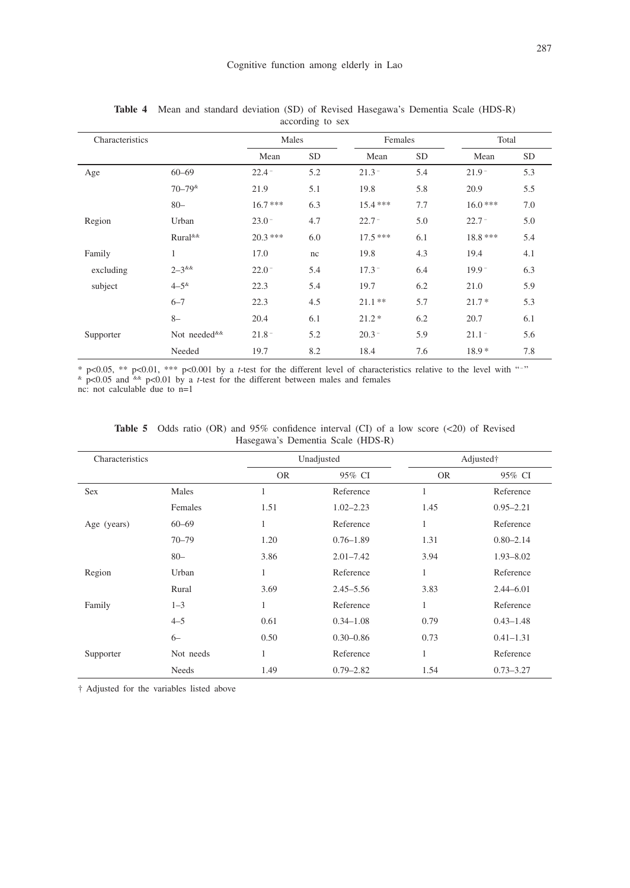| Characteristics |                                  | Males     |           | Females   |           | Total     |           |
|-----------------|----------------------------------|-----------|-----------|-----------|-----------|-----------|-----------|
|                 |                                  | Mean      | <b>SD</b> | Mean      | <b>SD</b> | Mean      | <b>SD</b> |
| Age             | $60 - 69$                        | $22.4 -$  | 5.2       | $21.3 -$  | 5.4       | $21.9 -$  | 5.3       |
|                 | $70 - 79$ <sup>&amp;</sup>       | 21.9      | 5.1       | 19.8      | 5.8       | 20.9      | 5.5       |
|                 | $80 -$                           | $16.7***$ | 6.3       | $15.4***$ | 7.7       | $16.0***$ | 7.0       |
| Region          | Urban                            | $23.0 -$  | 4.7       | $22.7 -$  | 5.0       | $22.7 -$  | 5.0       |
|                 | Rural <sup>&amp;&amp;</sup>      | $20.3***$ | 6.0       | $17.5***$ | 6.1       | 18.8 ***  | 5.4       |
| Family          | $\mathbf{1}$                     | 17.0      | nc        | 19.8      | 4.3       | 19.4      | 4.1       |
| excluding       | $2 - 3$ &&                       | $22.0 -$  | 5.4       | $17.3 -$  | 6.4       | $19.9 -$  | 6.3       |
| subject         | $4 - 5^{8}$                      | 22.3      | 5.4       | 19.7      | 6.2       | 21.0      | 5.9       |
|                 | $6 - 7$                          | 22.3      | 4.5       | $21.1**$  | 5.7       | $21.7*$   | 5.3       |
|                 | $8-$                             | 20.4      | 6.1       | $21.2*$   | 6.2       | 20.7      | 6.1       |
| Supporter       | Not needed <sup>&amp;&amp;</sup> | $21.8 -$  | 5.2       | $20.3 -$  | 5.9       | $21.1 -$  | 5.6       |
|                 | Needed                           | 19.7      | 8.2       | 18.4      | 7.6       | $18.9*$   | 7.8       |

**Table 4** Mean and standard deviation (SD) of Revised Hasegawa's Dementia Scale (HDS-R) according to sex

 $*$  p<0.05,  $**$  p<0.01,  $**$  p<0.001 by a *t*-test for the different level of characteristics relative to the level with "-"  $\frac{k}{n}$  p<0.05 and  $\frac{k}{n}$  p<0.01 by a *t*-test for the different between males and females nc: not calculable due to n=1

| Characteristics |              | Unadjusted |               | Adjusted† |               |  |
|-----------------|--------------|------------|---------------|-----------|---------------|--|
|                 |              | <b>OR</b>  | 95% CI        | <b>OR</b> | 95% CI        |  |
| Sex             | Males        | 1          | Reference     | 1         | Reference     |  |
|                 | Females      | 1.51       | $1.02 - 2.23$ | 1.45      | $0.95 - 2.21$ |  |
| Age (years)     | $60 - 69$    | 1          | Reference     | 1         | Reference     |  |
|                 | $70 - 79$    | 1.20       | $0.76 - 1.89$ | 1.31      | $0.80 - 2.14$ |  |
|                 | $80 -$       | 3.86       | $2.01 - 7.42$ | 3.94      | $1.93 - 8.02$ |  |
| Region          | Urban        | 1          | Reference     | 1         | Reference     |  |
|                 | Rural        | 3.69       | $2.45 - 5.56$ | 3.83      | $2.44 - 6.01$ |  |
| Family          | $1 - 3$      | 1          | Reference     | 1         | Reference     |  |
|                 | $4 - 5$      | 0.61       | $0.34 - 1.08$ | 0.79      | $0.43 - 1.48$ |  |
|                 | $6 -$        | 0.50       | $0.30 - 0.86$ | 0.73      | $0.41 - 1.31$ |  |
| Supporter       | Not needs    | 1          | Reference     | 1         | Reference     |  |
|                 | <b>Needs</b> | 1.49       | $0.79 - 2.82$ | 1.54      | $0.73 - 3.27$ |  |

**Table 5** Odds ratio (OR) and 95% confidence interval (CI) of a low score (<20) of Revised Hasegawa's Dementia Scale (HDS-R)

† Adjusted for the variables listed above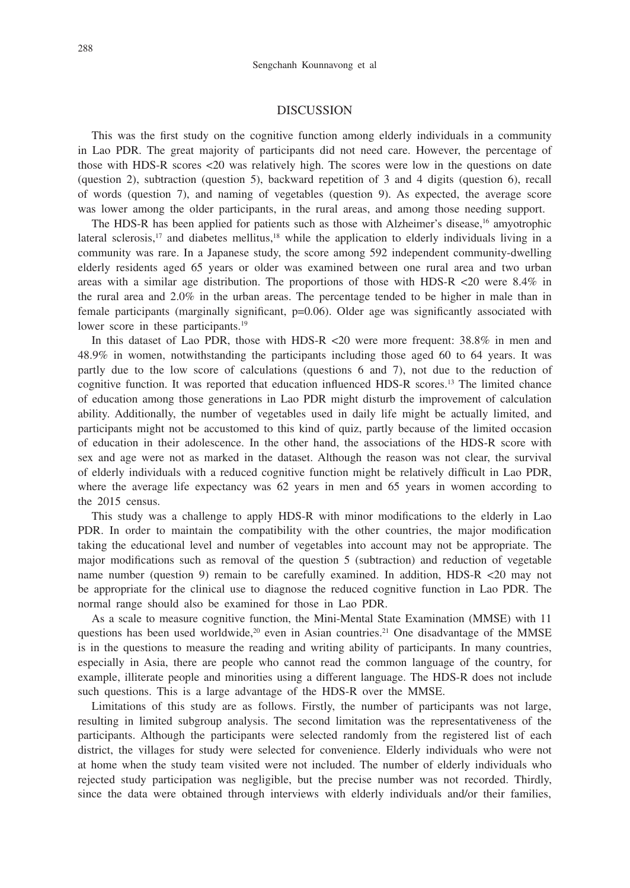## DISCUSSION

This was the first study on the cognitive function among elderly individuals in a community in Lao PDR. The great majority of participants did not need care. However, the percentage of those with HDS-R scores <20 was relatively high. The scores were low in the questions on date (question 2), subtraction (question 5), backward repetition of 3 and 4 digits (question 6), recall of words (question 7), and naming of vegetables (question 9). As expected, the average score was lower among the older participants, in the rural areas, and among those needing support.

The HDS-R has been applied for patients such as those with Alzheimer's disease,<sup>16</sup> amyotrophic lateral sclerosis,<sup>17</sup> and diabetes mellitus, $18$  while the application to elderly individuals living in a community was rare. In a Japanese study, the score among 592 independent community-dwelling elderly residents aged 65 years or older was examined between one rural area and two urban areas with a similar age distribution. The proportions of those with HDS-R <20 were 8.4% in the rural area and 2.0% in the urban areas. The percentage tended to be higher in male than in female participants (marginally significant, p=0.06). Older age was significantly associated with lower score in these participants.<sup>19</sup>

In this dataset of Lao PDR, those with HDS-R <20 were more frequent: 38.8% in men and 48.9% in women, notwithstanding the participants including those aged 60 to 64 years. It was partly due to the low score of calculations (questions 6 and 7), not due to the reduction of cognitive function. It was reported that education influenced HDS-R scores.13 The limited chance of education among those generations in Lao PDR might disturb the improvement of calculation ability. Additionally, the number of vegetables used in daily life might be actually limited, and participants might not be accustomed to this kind of quiz, partly because of the limited occasion of education in their adolescence. In the other hand, the associations of the HDS-R score with sex and age were not as marked in the dataset. Although the reason was not clear, the survival of elderly individuals with a reduced cognitive function might be relatively difficult in Lao PDR, where the average life expectancy was 62 years in men and 65 years in women according to the 2015 census.

This study was a challenge to apply HDS-R with minor modifications to the elderly in Lao PDR. In order to maintain the compatibility with the other countries, the major modification taking the educational level and number of vegetables into account may not be appropriate. The major modifications such as removal of the question 5 (subtraction) and reduction of vegetable name number (question 9) remain to be carefully examined. In addition, HDS-R <20 may not be appropriate for the clinical use to diagnose the reduced cognitive function in Lao PDR. The normal range should also be examined for those in Lao PDR.

As a scale to measure cognitive function, the Mini-Mental State Examination (MMSE) with 11 questions has been used worldwide,<sup>20</sup> even in Asian countries.<sup>21</sup> One disadvantage of the MMSE is in the questions to measure the reading and writing ability of participants. In many countries, especially in Asia, there are people who cannot read the common language of the country, for example, illiterate people and minorities using a different language. The HDS-R does not include such questions. This is a large advantage of the HDS-R over the MMSE.

Limitations of this study are as follows. Firstly, the number of participants was not large, resulting in limited subgroup analysis. The second limitation was the representativeness of the participants. Although the participants were selected randomly from the registered list of each district, the villages for study were selected for convenience. Elderly individuals who were not at home when the study team visited were not included. The number of elderly individuals who rejected study participation was negligible, but the precise number was not recorded. Thirdly, since the data were obtained through interviews with elderly individuals and/or their families,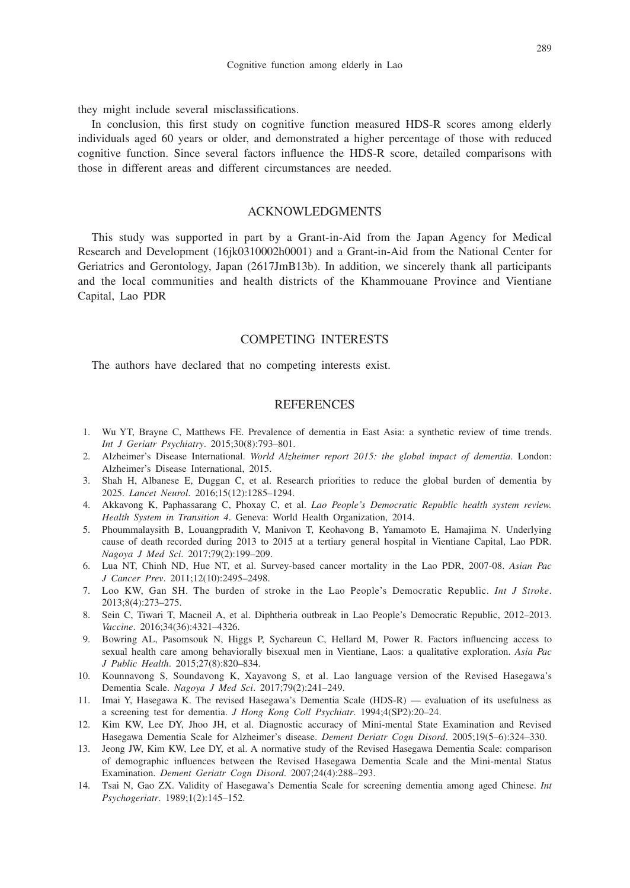they might include several misclassifications.

In conclusion, this first study on cognitive function measured HDS-R scores among elderly individuals aged 60 years or older, and demonstrated a higher percentage of those with reduced cognitive function. Since several factors influence the HDS-R score, detailed comparisons with those in different areas and different circumstances are needed.

# ACKNOWLEDGMENTS

This study was supported in part by a Grant-in-Aid from the Japan Agency for Medical Research and Development (16jk0310002h0001) and a Grant-in-Aid from the National Center for Geriatrics and Gerontology, Japan (2617JmB13b). In addition, we sincerely thank all participants and the local communities and health districts of the Khammouane Province and Vientiane Capital, Lao PDR

## COMPETING INTERESTS

The authors have declared that no competing interests exist.

## **REFERENCES**

- 1. Wu YT, Brayne C, Matthews FE. Prevalence of dementia in East Asia: a synthetic review of time trends. *Int J Geriatr Psychiatry*. 2015;30(8):793–801.
- 2. Alzheimer's Disease International. *World Alzheimer report 2015: the global impact of dementia*. London: Alzheimer's Disease International, 2015.
- 3. Shah H, Albanese E, Duggan C, et al. Research priorities to reduce the global burden of dementia by 2025. *Lancet Neurol*. 2016;15(12):1285–1294.
- 4. Akkavong K, Paphassarang C, Phoxay C, et al. *Lao People's Democratic Republic health system review. Health System in Transition 4*. Geneva: World Health Organization, 2014.
- 5. Phoummalaysith B, Louangpradith V, Manivon T, Keohavong B, Yamamoto E, Hamajima N. Underlying cause of death recorded during 2013 to 2015 at a tertiary general hospital in Vientiane Capital, Lao PDR. *Nagoya J Med Sci*. 2017;79(2):199–209.
- 6. Lua NT, Chinh ND, Hue NT, et al. Survey-based cancer mortality in the Lao PDR, 2007-08. *Asian Pac J Cancer Prev*. 2011;12(10):2495–2498.
- 7. Loo KW, Gan SH. The burden of stroke in the Lao People's Democratic Republic. *Int J Stroke*. 2013;8(4):273–275.
- 8. Sein C, Tiwari T, Macneil A, et al. Diphtheria outbreak in Lao People's Democratic Republic, 2012–2013. *Vaccine*. 2016;34(36):4321–4326.
- 9. Bowring AL, Pasomsouk N, Higgs P, Sychareun C, Hellard M, Power R. Factors influencing access to sexual health care among behaviorally bisexual men in Vientiane, Laos: a qualitative exploration. *Asia Pac J Public Health*. 2015;27(8):820–834.
- 10. Kounnavong S, Soundavong K, Xayavong S, et al. Lao language version of the Revised Hasegawa's Dementia Scale. *Nagoya J Med Sci*. 2017;79(2):241–249.
- 11. Imai Y, Hasegawa K. The revised Hasegawa's Dementia Scale (HDS-R) evaluation of its usefulness as a screening test for dementia. *J Hong Kong Coll Psychiatr*. 1994;4(SP2):20–24.
- 12. Kim KW, Lee DY, Jhoo JH, et al. Diagnostic accuracy of Mini-mental State Examination and Revised Hasegawa Dementia Scale for Alzheimer's disease. *Dement Deriatr Cogn Disord*. 2005;19(5–6):324–330.
- 13. Jeong JW, Kim KW, Lee DY, et al. A normative study of the Revised Hasegawa Dementia Scale: comparison of demographic influences between the Revised Hasegawa Dementia Scale and the Mini-mental Status Examination. *Dement Geriatr Cogn Disord*. 2007;24(4):288–293.
- 14. Tsai N, Gao ZX. Validity of Hasegawa's Dementia Scale for screening dementia among aged Chinese. *Int Psychogeriatr*. 1989;1(2):145–152.